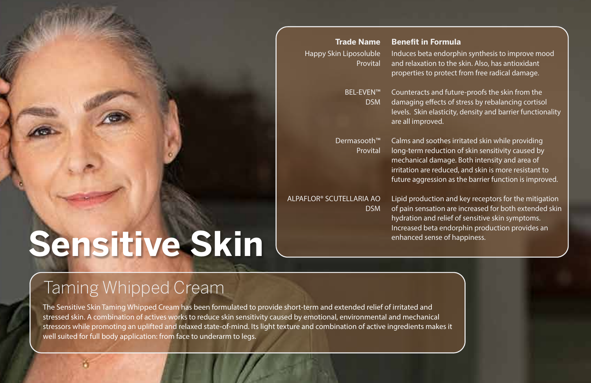# **Sensitive Skin**

#### **Benefit in Formula** Induces beta endorphin synthesis to improve mood and relaxation to the skin. Also, has antioxidant properties to protect from free radical damage. **Trade Name** Happy Skin Liposoluble Provital

BEL-EVEN™ DSM

are all improved.

Counteracts and future-proofs the skin from the damaging effects of stress by rebalancing cortisol levels. Skin elasticity, density and barrier functionality

Dermasooth™ Provital

Calms and soothes irritated skin while providing long-term reduction of skin sensitivity caused by mechanical damage. Both intensity and area of irritation are reduced, and skin is more resistant to future aggression as the barrier function is improved.

ALPAFLOR® SCUTELLARIA AO DSM

Lipid production and key receptors for the mitigation of pain sensation are increased for both extended skin hydration and relief of sensitive skin symptoms. Increased beta endorphin production provides an enhanced sense of happiness.

## Taming Whipped Cream

The Sensitive Skin Taming Whipped Cream has been formulated to provide short-term and extended relief of irritated and stressed skin. A combination of actives works to reduce skin sensitivity caused by emotional, environmental and mechanical stressors while promoting an uplifted and relaxed state-of-mind. Its light texture and combination of active ingredients makes it well suited for full body application: from face to underarm to legs.